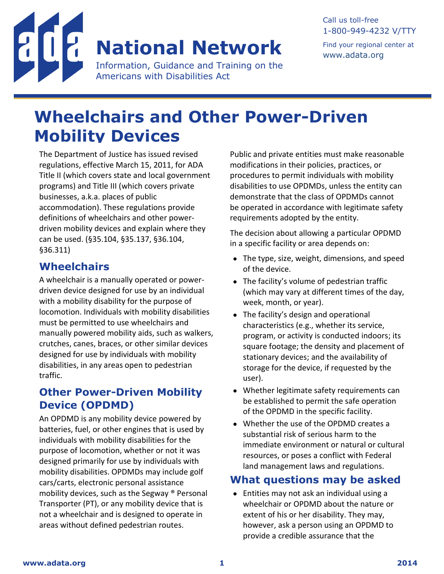

#### Call us toll-free 1-800-949-4232 V/TTY Find your regional center at [www.adata.org](http://www.adata.org/)

# **Wheelchairs and Other Power-Driven Mobility Devices**

The Department of Justice has issued revised regulations, effective March 15, 2011, for ADA Title II (which covers state and local government programs) and Title III (which covers private businesses, a.k.a. places of public accommodation). These regulations provide definitions of wheelchairs and other powerdriven mobility devices and explain where they can be used. (§35.104, §35.137, §36.104, §36.311)

#### **Wheelchairs**

A wheelchair is a manually operated or powerdriven device designed for use by an individual with a mobility disability for the purpose of locomotion. Individuals with mobility disabilities must be permitted to use wheelchairs and manually powered mobility aids, such as walkers, crutches, canes, braces, or other similar devices designed for use by individuals with mobility disabilities, in any areas open to pedestrian traffic.

### **Other Power-Driven Mobility Device (OPDMD)**

An OPDMD is any mobility device powered by batteries, fuel, or other engines that is used by individuals with mobility disabilities for the purpose of locomotion, whether or not it was designed primarily for use by individuals with mobility disabilities. OPDMDs may include golf cars/carts, electronic personal assistance mobility devices, such as the Segway ® Personal Transporter (PT), or any mobility device that is not a wheelchair and is designed to operate in areas without defined pedestrian routes.

Public and private entities must make reasonable modifications in their policies, practices, or procedures to permit individuals with mobility disabilities to use OPDMDs, unless the entity can demonstrate that the class of OPDMDs cannot be operated in accordance with legitimate safety requirements adopted by the entity.

The decision about allowing a particular OPDMD in a specific facility or area depends on:

- The type, size, weight, dimensions, and speed of the device.
- The facility's volume of pedestrian traffic (which may vary at different times of the day, week, month, or year).
- The facility's design and operational characteristics (e.g., whether its service, program, or activity is conducted indoors; its square footage; the density and placement of stationary devices; and the availability of storage for the device, if requested by the user).
- Whether legitimate safety requirements can be established to permit the safe operation of the OPDMD in the specific facility.
- Whether the use of the OPDMD creates a substantial risk of serious harm to the immediate environment or natural or cultural resources, or poses a conflict with Federal land management laws and regulations.

#### **What questions may be asked**

 Entities may not ask an individual using a wheelchair or OPDMD about the nature or extent of his or her disability. They may, however, ask a person using an OPDMD to provide a credible assurance that the